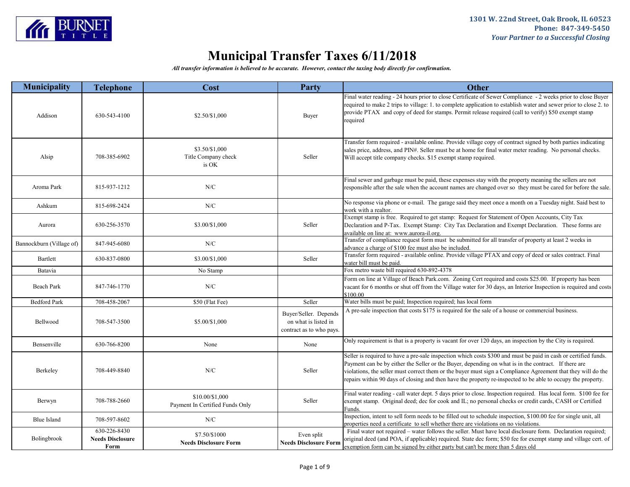

| <b>Municipality</b>      | <b>Telephone</b>                                | Cost                                               | <b>Party</b>                                                              | <b>Other</b>                                                                                                                                                                                                                                                                                                                                                                                                                                            |
|--------------------------|-------------------------------------------------|----------------------------------------------------|---------------------------------------------------------------------------|---------------------------------------------------------------------------------------------------------------------------------------------------------------------------------------------------------------------------------------------------------------------------------------------------------------------------------------------------------------------------------------------------------------------------------------------------------|
| Addison                  | 630-543-4100                                    | \$2.50/\$1,000                                     | Buyer                                                                     | Final water reading - 24 hours prior to close Certificate of Sewer Compliance - 2 weeks prior to close Buyer<br>required to make 2 trips to village: 1. to complete application to establish water and sewer prior to close 2. to<br>provide PTAX and copy of deed for stamps. Permit release required (call to verify) \$50 exempt stamp<br>required                                                                                                   |
| Alsip                    | 708-385-6902                                    | \$3.50/\$1,000<br>Title Company check<br>is OK     | Seller                                                                    | Transfer form required - available online. Provide village copy of contract signed by both parties indicating<br>sales price, address, and PIN#. Seller must be at home for final water meter reading. No personal checks.<br>Will accept title company checks. \$15 exempt stamp required.                                                                                                                                                             |
| Aroma Park               | 815-937-1212                                    | N/C                                                |                                                                           | Final sewer and garbage must be paid, these expenses stay with the property meaning the sellers are not<br>responsible after the sale when the account names are changed over so they must be cared for before the sale.                                                                                                                                                                                                                                |
| Ashkum                   | 815-698-2424                                    | N/C                                                |                                                                           | No response via phone or e-mail. The garage said they meet once a month on a Tuesday night. Said best to<br>work with a realtor.                                                                                                                                                                                                                                                                                                                        |
| Aurora                   | 630-256-3570                                    | \$3.00/\$1,000                                     | Seller                                                                    | Exempt stamp is free. Required to get stamp: Request for Statement of Open Accounts, City Tax<br>Declaration and P-Tax. Exempt Stamp: City Tax Declaration and Exempt Declaration. These forms are<br>available on line at: www.aurora-il.org.                                                                                                                                                                                                          |
| Bannockburn (Village of) | 847-945-6080                                    | N/C                                                |                                                                           | Transfer of compliance request form must be submitted for all transfer of property at least 2 weeks in<br>advance a charge of \$100 fee must also be included.                                                                                                                                                                                                                                                                                          |
| Bartlett                 | 630-837-0800                                    | \$3.00/\$1,000                                     | Seller                                                                    | Transfer form required - available online. Provide village PTAX and copy of deed or sales contract. Final<br>water bill must be paid.                                                                                                                                                                                                                                                                                                                   |
| Batavia                  |                                                 | No Stamp                                           |                                                                           | Fox metro waste bill required 630-892-4378                                                                                                                                                                                                                                                                                                                                                                                                              |
| Beach Park               | 847-746-1770                                    | N/C                                                |                                                                           | Form on line at Village of Beach Park.com. Zoning Cert required and costs \$25.00. If property has been<br>vacant for 6 months or shut off from the Village water for 30 days, an Interior Inspection is required and costs<br>\$100.00                                                                                                                                                                                                                 |
| <b>Bedford Park</b>      | 708-458-2067                                    | \$50 (Flat Fee)                                    | Seller                                                                    | Water bills must be paid; Inspection required; has local form                                                                                                                                                                                                                                                                                                                                                                                           |
| Bellwood                 | 708-547-3500                                    | \$5.00/\$1,000                                     | Buyer/Seller. Depends<br>on what is listed in<br>contract as to who pays. | A pre-sale inspection that costs \$175 is required for the sale of a house or commercial business.                                                                                                                                                                                                                                                                                                                                                      |
| Bensenville              | 630-766-8200                                    | None                                               | None                                                                      | Only requirement is that is a property is vacant for over 120 days, an inspection by the City is required.                                                                                                                                                                                                                                                                                                                                              |
| Berkeley                 | 708-449-8840                                    | N/C                                                | Seller                                                                    | Seller is required to have a pre-sale inspection which costs \$300 and must be paid in cash or certified funds.<br>Payment can be by either the Seller or the Buyer, depending on what is in the contract. If there are<br>violations, the seller must correct them or the buyer must sign a Compliance Agreement that they will do the<br>repairs within 90 days of closing and then have the property re-inspected to be able to occupy the property. |
| Berwyn                   | 708-788-2660                                    | \$10.00/\$1,000<br>Payment In Certified Funds Only | Seller                                                                    | Final water reading - call water dept. 5 days prior to close. Inspection required. Has local form. \$100 fee for<br>exempt stamp. Original deed; dec for cook and IL; no personal checks or credit cards, CASH or Certified<br>Funds.                                                                                                                                                                                                                   |
| Blue Island              | 708-597-8602                                    | N/C                                                |                                                                           | Inspection, intent to sell form needs to be filled out to schedule inspection, \$100.00 fee for single unit, all<br>properties need a certificate to sell whether there are violations on no violations.                                                                                                                                                                                                                                                |
| Bolingbrook              | 630-226-8430<br><b>Needs Disclosure</b><br>Form | \$7.50/\$1000<br><b>Needs Disclosure Form</b>      | Even split<br><b>Needs Disclosure Form</b>                                | Final water not required - water follows the seller. Must have local disclosure form. Declaration required;<br>original deed (and POA, if applicable) required. State dec form; \$50 fee for exempt stamp and village cert. of<br>exemption form can be signed by either party but can't be more than 5 days old                                                                                                                                        |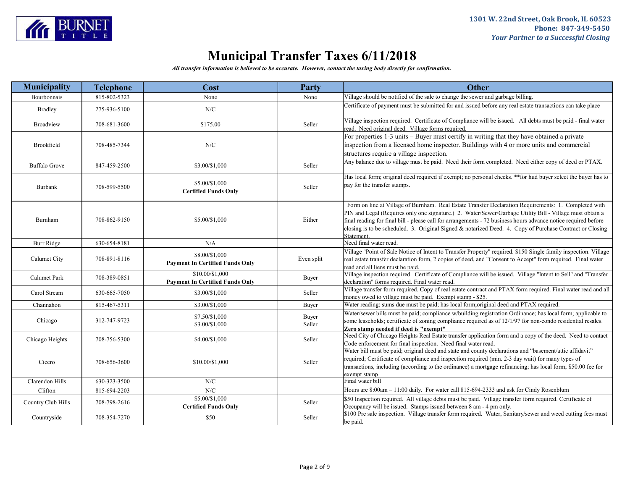

| <b>Municipality</b>  | <b>Telephone</b> | Cost                                                      | Party           | <b>Other</b>                                                                                                                                                                                                                                                                                                                                                                                                                                                 |
|----------------------|------------------|-----------------------------------------------------------|-----------------|--------------------------------------------------------------------------------------------------------------------------------------------------------------------------------------------------------------------------------------------------------------------------------------------------------------------------------------------------------------------------------------------------------------------------------------------------------------|
| Bourbonnais          | 815-802-5323     | None                                                      | None            | Village should be notified of the sale to change the sewer and garbage billing.                                                                                                                                                                                                                                                                                                                                                                              |
| <b>Bradley</b>       | 275-936-5100     | N/C                                                       |                 | Certificate of payment must be submitted for and issued before any real estate transactions can take place                                                                                                                                                                                                                                                                                                                                                   |
| <b>Broadview</b>     | 708-681-3600     | \$175.00                                                  | Seller          | Village inspection required. Certificate of Compliance will be issued. All debts must be paid - final water<br>read. Need original deed. Village forms required.                                                                                                                                                                                                                                                                                             |
| Brookfield           | 708-485-7344     | N/C                                                       |                 | For properties 1-3 units – Buyer must certify in writing that they have obtained a private<br>inspection from a licensed home inspector. Buildings with 4 or more units and commercial<br>structures require a village inspection.                                                                                                                                                                                                                           |
| <b>Buffalo Grove</b> | 847-459-2500     | \$3.00/\$1,000                                            | Seller          | Any balance due to village must be paid. Need their form completed. Need either copy of deed or PTAX.                                                                                                                                                                                                                                                                                                                                                        |
| Burbank              | 708-599-5500     | \$5.00/\$1,000<br><b>Certified Funds Only</b>             | Seller          | Has local form; original deed required if exempt; no personal checks. **for hud buyer select the buyer has to<br>pay for the transfer stamps.                                                                                                                                                                                                                                                                                                                |
| Burnham              | 708-862-9150     | \$5.00/\$1,000                                            | Either          | Form on line at Village of Burnham. Real Estate Transfer Declaration Requirements: 1. Completed with<br>PIN and Legal (Requires only one signature.) 2. Water/Sewer/Garbage Utility Bill - Village must obtain a<br>final reading for final bill - please call for arrangements - 72 business hours advance notice required before<br>closing is to be scheduled. 3. Original Signed & notarized Deed. 4. Copy of Purchase Contract or Closing<br>Statement. |
| <b>Burr Ridge</b>    | 630-654-8181     | N/A                                                       |                 | Need final water read.                                                                                                                                                                                                                                                                                                                                                                                                                                       |
| Calumet City         | 708-891-8116     | \$8.00/\$1,000<br><b>Payment In Certified Funds Only</b>  | Even split      | Village "Point of Sale Notice of Intent to Transfer Property" required. \$150 Single family inspection. Village<br>real estate transfer declaration form, 2 copies of deed, and "Consent to Accept" form required. Final water<br>read and all liens must be paid.                                                                                                                                                                                           |
| Calumet Park         | 708-389-0851     | \$10.00/\$1,000<br><b>Payment In Certified Funds Only</b> | Buyer           | Village inspection required. Certificate of Compliance will be issued. Village "Intent to Sell" and "Transfer<br>declaration" forms required. Final water read.                                                                                                                                                                                                                                                                                              |
| Carol Stream         | 630-665-7050     | \$3.00/\$1,000                                            | Seller          | Village transfer form required. Copy of real estate contract and PTAX form required. Final water read and all<br>money owed to village must be paid. Exempt stamp - \$25.                                                                                                                                                                                                                                                                                    |
| Channahon            | 815-467-5311     | \$3.00/\$1,000                                            | Buyer           | Water reading; sums due must be paid; has local form;original deed and PTAX required.                                                                                                                                                                                                                                                                                                                                                                        |
| Chicago              | 312-747-9723     | \$7.50/\$1,000<br>\$3.00/\$1,000                          | Buyer<br>Seller | Water/sewer bills must be paid; compliance w/building registration Ordinance; has local form; applicable to<br>some leaseholds; certificate of zoning compliance required as of 12/1/97 for non-condo residential resales.<br>Zero stamp needed if deed is "exempt"                                                                                                                                                                                          |
| Chicago Heights      | 708-756-5300     | \$4.00/\$1,000                                            | Seller          | Need City of Chicago Heights Real Estate transfer application form and a copy of the deed. Need to contact<br>Code enforcement for final inspection. Need final water read.                                                                                                                                                                                                                                                                                  |
| Cicero               | 708-656-3600     | \$10.00/\$1,000                                           | Seller          | Water bill must be paid; original deed and state and county declarations and "basement/attic affidavit"<br>required; Certificate of compliance and inspection required (min. 2-3 day wait) for many types of<br>transactions, including (according to the ordinance) a mortgage refinancing; has local form; \$50.00 fee for<br>exempt stamp                                                                                                                 |
| Clarendon Hills      | 630-323-3500     | N/C                                                       |                 | Final water bill                                                                                                                                                                                                                                                                                                                                                                                                                                             |
| Clifton              | 815-694-2203     | ${\rm N/C}$                                               |                 | Hours are 8:00am - 11:00 daily. For water call 815-694-2333 and ask for Cindy Rosenblum                                                                                                                                                                                                                                                                                                                                                                      |
| Country Club Hills   | 708-798-2616     | \$5.00/\$1,000<br><b>Certified Funds Only</b>             | Seller          | \$50 Inspection required. All village debts must be paid. Village transfer form required. Certificate of<br>Occupancy will be issued. Stamps issued between 8 am - 4 pm only.                                                                                                                                                                                                                                                                                |
| Countryside          | 708-354-7270     | \$50                                                      | Seller          | \$100 Pre sale inspection. Village transfer form required. Water, Sanitary/sewer and weed cutting fees must<br>be paid.                                                                                                                                                                                                                                                                                                                                      |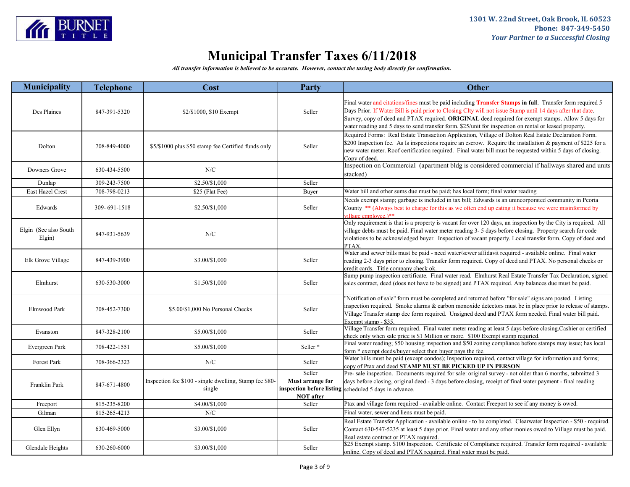

| <b>Municipality</b>             | <b>Telephone</b> | Cost                                                              | <b>Party</b>                                   | <b>Other</b>                                                                                                                                                                                                                                                                                                                                                                                                                            |
|---------------------------------|------------------|-------------------------------------------------------------------|------------------------------------------------|-----------------------------------------------------------------------------------------------------------------------------------------------------------------------------------------------------------------------------------------------------------------------------------------------------------------------------------------------------------------------------------------------------------------------------------------|
| Des Plaines                     | 847-391-5320     | \$2/\$1000, \$10 Exempt                                           | Seller                                         | Final water and citations/fines must be paid including Transfer Stamps in full. Transfer form required 5<br>Days Prior. If Water Bill is paid prior to Closing CIty will not issue Stamp until 14 days after that date.<br>Survey, copy of deed and PTAX required. ORIGINAL deed required for exempt stamps. Allow 5 days for<br>water reading and 5 days to send transfer form. \$25/unit for inspection on rental or leased property. |
| Dolton                          | 708-849-4000     | \$5/\$1000 plus \$50 stamp fee Certified funds only               | Seller                                         | Required Forms: Real Estate Transaction Application, Village of Dolton Real Estate Declaration Form.<br>\$200 Inspection fee. As Is inspections require an escrow. Require the installation & payment of \$225 for a<br>new water meter. Roof certification required. Final water bill must be requested within 5 days of closing.<br>Conv of deed.                                                                                     |
| Downers Grove                   | 630-434-5500     | N/C                                                               |                                                | Inspection on Commercial (apartment bldg is considered commercial if hallways shared and units<br>stacked)                                                                                                                                                                                                                                                                                                                              |
| Dunlap                          | 309-243-7500     | \$2.50/\$1,000                                                    | Seller                                         |                                                                                                                                                                                                                                                                                                                                                                                                                                         |
| East Hazel Crest                | 708-798-0213     | \$25 (Flat Fee)                                                   | Buyer                                          | Water bill and other sums due must be paid; has local form; final water reading                                                                                                                                                                                                                                                                                                                                                         |
| Edwards                         | 309-691-1518     | \$2.50/\$1,000                                                    | Seller                                         | Needs exempt stamp; garbage is included in tax bill; Edwards is an unincorporated community in Peoria<br>County ** (Always best to charge for this as we often end up eating it because we were misinformed by<br>village employee.)**                                                                                                                                                                                                  |
| Elgin (See also South<br>Elgin) | 847-931-5639     | N/C                                                               |                                                | Only requirement is that is a property is vacant for over 120 days, an inspection by the City is required. All<br>village debts must be paid. Final water meter reading 3- 5 days before closing. Property search for code<br>violations to be acknowledged buyer. Inspection of vacant property. Local transfer form. Copy of deed and<br>PTAX.                                                                                        |
| Elk Grove Village               | 847-439-3900     | \$3.00/\$1,000                                                    | Seller                                         | Water and sewer bills must be paid - need water/sewer affidavit required - available online. Final water<br>reading 2-3 days prior to closing. Transfer form required. Copy of deed and PTAX. No personal checks or<br>credit cards. Title company check ok.                                                                                                                                                                            |
| Elmhurst                        | 630-530-3000     | \$1.50/\$1,000                                                    | Seller                                         | Sump pump inspection certificate. Final water read. Elmhurst Real Estate Transfer Tax Declaration, signed<br>sales contract, deed (does not have to be signed) and PTAX required. Any balances due must be paid.                                                                                                                                                                                                                        |
| Elmwood Park                    | 708-452-7300     | \$5.00/\$1,000 No Personal Checks                                 | Seller                                         | 'Notification of sale" form must be completed and returned before "for sale" signs are posted. Listing<br>inspection required. Smoke alarms $\&$ carbon monoxide detectors must be in place prior to release of stamps.<br>Village Transfer stamp dec form required. Unsigned deed and PTAX form needed. Final water bill paid.<br>Exempt stamp - \$35.                                                                                 |
| Evanston                        | 847-328-2100     | \$5.00/\$1,000                                                    | Seller                                         | Village Transfer form required. Final water meter reading at least 5 days before closing. Cashier or certified<br>check only when sale price is \$1 Million or more. \$100 Exempt stamp requried.                                                                                                                                                                                                                                       |
| Evergreen Park                  | 708-422-1551     | \$5.00/\$1,000                                                    | Seller <sup>*</sup>                            | Final water reading; \$50 housing inspection and \$50 zoning compliance before stamps may issue; has local<br>form * exempt deeds/buyer select then buyer pays the fee.                                                                                                                                                                                                                                                                 |
| Forest Park                     | 708-366-2323     | N/C                                                               | Seller                                         | Water bills must be paid (except condos); Inspection required, contact village for information and forms;<br>copy of Ptax and deed STAMP MUST BE PICKED UP IN PERSON                                                                                                                                                                                                                                                                    |
| Franklin Park                   | 847-671-4800     | Inspection fee \$100 - single dwelling, Stamp fee \$80-<br>single | Seller<br>Must arrange for<br><b>NOT</b> after | Pre- sale inspection. Documents required for sale: original survey - not older than 6 months, submitted 3<br>days before closing, original deed - 3 days before closing, receipt of final water payment - final reading<br>inspection before listing scheduled 5 days in advance.                                                                                                                                                       |
| Freeport                        | 815-235-8200     | \$4.00/\$1,000                                                    | Seller                                         | Ptax and village form required - available online. Contact Freeport to see if any money is owed.                                                                                                                                                                                                                                                                                                                                        |
| Gilman                          | 815-265-4213     | N/C                                                               |                                                | Final water, sewer and liens must be paid.                                                                                                                                                                                                                                                                                                                                                                                              |
| Glen Ellyn                      | 630-469-5000     | \$3.00/\$1,000                                                    | Seller                                         | Real Estate Transfer Application - available online - to be completed. Clearwater Inspection - \$50 - required.<br>Contact 630-547-5235 at least 5 days prior. Final water and any other monies owed to Village must be paid.<br>Real estate contract or PTAX required.                                                                                                                                                                 |
| Glendale Heights                | 630-260-6000     | \$3.00/\$1,000                                                    | Seller                                         | \$25 Exempt stamp. \$100 Inspection. Certificate of Compliance required. Transfer form required - available<br>online. Copy of deed and PTAX required. Final water must be paid.                                                                                                                                                                                                                                                        |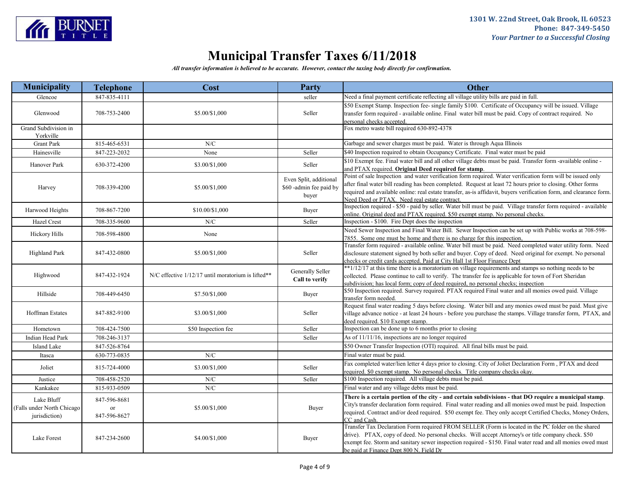

| Municipality                                              | <b>Telephone</b>                   | Cost                                               | Party                                                      | <b>Other</b>                                                                                                                                                                                                                                                                                                                                                                                     |
|-----------------------------------------------------------|------------------------------------|----------------------------------------------------|------------------------------------------------------------|--------------------------------------------------------------------------------------------------------------------------------------------------------------------------------------------------------------------------------------------------------------------------------------------------------------------------------------------------------------------------------------------------|
| Glencoe                                                   | 847-835-4111                       |                                                    | seller                                                     | Need a final payment certificate reflecting all village utility bills are paid in full.                                                                                                                                                                                                                                                                                                          |
| Glenwood                                                  | 708-753-2400                       | \$5.00/\$1,000                                     | Seller                                                     | \$50 Exempt Stamp. Inspection fee- single family \$100. Certificate of Occupancy will be issued. Village<br>transfer form required - available online. Final water bill must be paid. Copy of contract required. No<br>personal checks accepted.                                                                                                                                                 |
| Grand Subdivision in<br>Yorkville                         |                                    |                                                    |                                                            | Fox metro waste bill required 630-892-4378                                                                                                                                                                                                                                                                                                                                                       |
| <b>Grant Park</b>                                         | 815-465-6531                       | N/C                                                |                                                            | Garbage and sewer charges must be paid. Water is through Aqua Illinois                                                                                                                                                                                                                                                                                                                           |
| Hainesville                                               | 847-223-2032                       | None                                               | Seller                                                     | \$40 Inspection required to obtain Occupancy Certificate. Final water must be paid                                                                                                                                                                                                                                                                                                               |
| Hanover Park                                              | 630-372-4200                       | \$3.00/\$1,000                                     | Seller                                                     | \$10 Exempt fee. Final water bill and all other village debts must be paid. Transfer form -available online -<br>and PTAX required. Original Deed required for stamp.                                                                                                                                                                                                                            |
| Harvey                                                    | 708-339-4200                       | \$5.00/\$1,000                                     | Even Split, additional<br>\$60 -admin fee paid by<br>buyer | Point of sale Inspection and water verification form required. Water verification form will be issued only<br>after final water bill reading has been completed. Request at least 72 hours prior to closing. Other forms<br>required and available online: real estate transfer, as-is affidavit, buyers verification form, and clearance form.<br>Need Deed or PTAX. Need real estate contract. |
| Harwood Heights                                           | 708-867-7200                       | \$10.00/\$1,000                                    | Buyer                                                      | Inspection required - \$50 - paid by seller. Water bill must be paid. Village transfer form required - available<br>online. Original deed and PTAX required. \$50 exempt stamp. No personal checks.                                                                                                                                                                                              |
| Hazel Crest                                               | 708-335-9600                       | N/C                                                | Seller                                                     | Inspection - \$100. Fire Dept does the inspection                                                                                                                                                                                                                                                                                                                                                |
| <b>Hickory Hills</b>                                      | 708-598-4800                       | None                                               |                                                            | Need Sewer Inspection and Final Water Bill. Sewer Inspection can be set up with Public works at 708-598-<br>7855. Some one must be home and there is no charge for this inspection,                                                                                                                                                                                                              |
| <b>Highland Park</b>                                      | 847-432-0800                       | \$5.00/\$1,000                                     | Seller                                                     | Transfer form required - available online. Water bill must be paid. Need completed water utility form. Need<br>disclosure statement signed by both seller and buyer. Copy of deed. Need original for exempt. No personal<br>checks or credit cards accepted. Paid at City Hall 1st Floor Finance Dept                                                                                            |
| Highwood                                                  | 847-432-1924                       | N/C effective 1/12/17 until moratorium is lifted** | Generally Seller<br>Call to verify                         | **1/12/17 at this time there is a moratorium on village requirements and stamps so nothing needs to be<br>collected. Please continue to call to verify. The transfer fee is applicable for town of Fort Sheridan<br>subdivision; has local form; copy of deed required, no personal checks; inspection                                                                                           |
| Hillside                                                  | 708-449-6450                       | \$7.50/\$1,000                                     | Buyer                                                      | \$50 Inspection required. Survey required. PTAX required Final water and all monies owed paid. Village<br>transfer form needed.                                                                                                                                                                                                                                                                  |
| <b>Hoffman Estates</b>                                    | 847-882-9100                       | \$3.00/\$1,000                                     | Seller                                                     | Request final water reading 5 days before closing. Water bill and any monies owed must be paid. Must give<br>village advance notice - at least 24 hours - before you purchase the stamps. Village transfer form, PTAX, and<br>deed required. \$10 Exempt stamp.                                                                                                                                  |
| Hometown                                                  | 708-424-7500                       | \$50 Inspection fee                                | Seller                                                     | Inspection can be done up to 6 months prior to closing                                                                                                                                                                                                                                                                                                                                           |
| Indian Head Park                                          | 708-246-3137                       |                                                    | Seller                                                     | As of 11/11/16, inspections are no longer required                                                                                                                                                                                                                                                                                                                                               |
| Island Lake                                               | 847-526-8764                       |                                                    |                                                            | \$50 Owner Transfer Inspection (OTI) required. All final bills must be paid.                                                                                                                                                                                                                                                                                                                     |
| Itasca                                                    | 630-773-0835                       | N/C                                                |                                                            | Final water must be paid.                                                                                                                                                                                                                                                                                                                                                                        |
| Joliet                                                    | 815-724-4000                       | \$3.00/\$1,000                                     | Seller                                                     | Fax completed water/lien letter 4 days prior to closing. City of Joliet Declaration Form, PTAX and deed<br>required. \$0 exempt stamp. No personal checks. Title company checks okay.                                                                                                                                                                                                            |
| Justice                                                   | 708-458-2520                       | ${\rm N/C}$                                        | Seller                                                     | \$100 Inspection required. All village debts must be paid.                                                                                                                                                                                                                                                                                                                                       |
| Kankakee                                                  | 815-933-0509                       | ${\rm N/C}$                                        |                                                            | Final water and any village debts must be paid.                                                                                                                                                                                                                                                                                                                                                  |
| Lake Bluff<br>(Falls under North Chicago<br>jurisdiction) | 847-596-8681<br>or<br>847-596-8627 | \$5.00/\$1,000                                     | Buyer                                                      | There is a certain portion of the city - and certain subdivisions - that DO require a municipal stamp.<br>City's transfer declaration form required. Final water reading and all monies owed must be paid. Inspection<br>required. Contract and/or deed required. \$50 exempt fee. They only accept Certified Checks, Money Orders,<br>CC and Cash.                                              |
| Lake Forest                                               | 847-234-2600                       | \$4.00/\$1,000                                     | Buyer                                                      | Transfer Tax Declaration Form required FROM SELLER (Form is located in the PC folder on the shared<br>drive). PTAX, copy of deed. No personal checks. Will accept Attorney's or title company check. \$50<br>exempt fee. Storm and sanitary sewer inspection required - \$150. Final water read and all monies owed must<br>be paid at Finance Dept 800 N. Field Dr                              |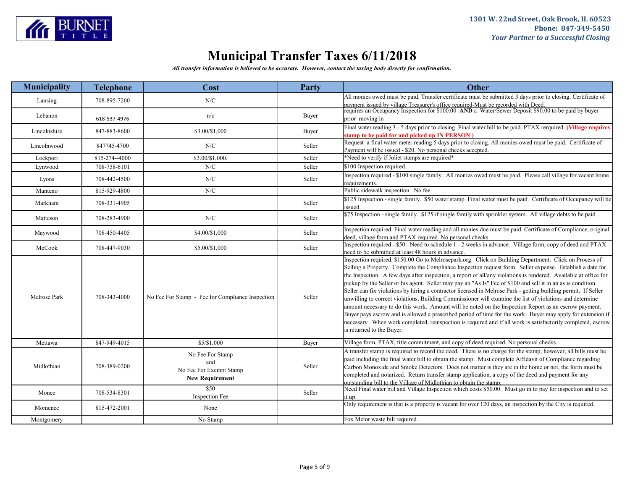

| <b>Municipality</b> | <b>Telephone</b> | Cost                                                                         | Party  | <b>Other</b>                                                                                                                                                                                                                                                                                                                                                                                                                                                                                                                                                                                                                                                                                                                                                                                                                                                                                                                                                                                                                                               |
|---------------------|------------------|------------------------------------------------------------------------------|--------|------------------------------------------------------------------------------------------------------------------------------------------------------------------------------------------------------------------------------------------------------------------------------------------------------------------------------------------------------------------------------------------------------------------------------------------------------------------------------------------------------------------------------------------------------------------------------------------------------------------------------------------------------------------------------------------------------------------------------------------------------------------------------------------------------------------------------------------------------------------------------------------------------------------------------------------------------------------------------------------------------------------------------------------------------------|
| Lansing             | 708-895-7200     | N/C                                                                          |        | All monies owed must be paid. Transfer certificate must be submitted 3 days prior to closing. Certificate of<br>payment issued by village Treasurer's office required-Must be recorded with Deed.                                                                                                                                                                                                                                                                                                                                                                                                                                                                                                                                                                                                                                                                                                                                                                                                                                                          |
| Lebanon             | 618-537-4976     | n/c                                                                          | Buyer  | requires an Occupancy Inspection for \$100.00 AND a Water/Sewer Deposit \$90.00 to be paid by buyer<br>prior moving in                                                                                                                                                                                                                                                                                                                                                                                                                                                                                                                                                                                                                                                                                                                                                                                                                                                                                                                                     |
| Lincolnshire        | 847-883-8600     | \$3.00/\$1,000                                                               | Buyer  | Final water reading 3 - 5 days prior to closing. Final water bill to be paid. PTAX rerquired. (Village requires<br>stamp to be paid for and picked up IN PERSON)                                                                                                                                                                                                                                                                                                                                                                                                                                                                                                                                                                                                                                                                                                                                                                                                                                                                                           |
| Lincolnwood         | 847745-4700      | N/C                                                                          | Seller | Request a final water meter reading 5 days prior to closing. All monies owed must be paid. Certificate of<br>Payment will be issued - \$20. No personal checks accepted.                                                                                                                                                                                                                                                                                                                                                                                                                                                                                                                                                                                                                                                                                                                                                                                                                                                                                   |
| Lockport            | 815-274--4000    | \$3.00/\$1.000.                                                              | Seller | *Need to verify if Joliet stamps are required*                                                                                                                                                                                                                                                                                                                                                                                                                                                                                                                                                                                                                                                                                                                                                                                                                                                                                                                                                                                                             |
| Lynwood             | 708-758-6101     | N/C                                                                          | Seller | \$100 Inspection required.                                                                                                                                                                                                                                                                                                                                                                                                                                                                                                                                                                                                                                                                                                                                                                                                                                                                                                                                                                                                                                 |
| Lyons               | 708-442-4500     | N/C                                                                          | Seller | Inspection required - \$100 single family. All monies owed must be paid. Please call village for vacant home<br>requirements.                                                                                                                                                                                                                                                                                                                                                                                                                                                                                                                                                                                                                                                                                                                                                                                                                                                                                                                              |
| Manteno             | 815-929-4800     | N/C                                                                          |        | Public sidewalk inspection. No fee.                                                                                                                                                                                                                                                                                                                                                                                                                                                                                                                                                                                                                                                                                                                                                                                                                                                                                                                                                                                                                        |
| Markham             | 708-331-4905     |                                                                              | Seller | \$125 Inspection - single family. \$50 water stamp. Final water must be paid. Certificate of Occupancy will be<br>issued.                                                                                                                                                                                                                                                                                                                                                                                                                                                                                                                                                                                                                                                                                                                                                                                                                                                                                                                                  |
| Matteson            | 708-283-4900     | ${\rm N/C}$                                                                  | Seller | \$75 Inspection - single family. \$125 if single family with sprinkler system. All village debts to be paid.                                                                                                                                                                                                                                                                                                                                                                                                                                                                                                                                                                                                                                                                                                                                                                                                                                                                                                                                               |
| Maywood             | 708-450-4405     | \$4.00/\$1,000                                                               | Seller | Inspection required. Final water reading and all monies due must be paid. Certificate of Compliance, original<br>deed, village form and PTAX required. No personal checks                                                                                                                                                                                                                                                                                                                                                                                                                                                                                                                                                                                                                                                                                                                                                                                                                                                                                  |
| McCook              | 708-447-9030     | \$5.00/\$1,000                                                               | Seller | Inspection required - \$50. Need to schedule 1 - 2 weeks in advance. Village form, copy of deed and PTAX<br>need to be submitted at least 48 hours in advance.                                                                                                                                                                                                                                                                                                                                                                                                                                                                                                                                                                                                                                                                                                                                                                                                                                                                                             |
| Melrose Park        | 708-343-4000     | No Fee For Stamp - Fee for Compliance Inspection                             | Seller | Inspection required. \$150.00 Go to Melrosepark.org. Click on Building Department. Click on Process of<br>Selling a Property. Complete the Compliance Inspection request form. Seller expense. Establish a date for<br>the Inspection. A few days after inspection, a report of all/any violations is rendered. Available at office for<br>pickup by the Seller or his agent. Seller may pay an "As Is" Fee of \$100 and sell it in an as is condition.<br>Seller can fix violations by hiring a contractor licensed in Melrose Park - getting building permit. If Seller<br>unwilling to correct violations, Building Commissioner will examine the list of violations and determine<br>amount necessary to do this work. Amount will be noted on the Inspection Report as an escrow payment.<br>Buyer pays escrow and is allowed a prescribed period of time for the work. Buyer may apply for extension if<br>necessary. When work completed, reinspection is required and if all work is satisfactorily completed, escrow<br>is returned to the Buyer. |
| Mettawa             | 847-949-4015     | \$5/\$1,000                                                                  | Buyer  | Village form, PTAX, title commitment, and copy of deed required. No personal checks.                                                                                                                                                                                                                                                                                                                                                                                                                                                                                                                                                                                                                                                                                                                                                                                                                                                                                                                                                                       |
| Midlothian          | 708-389-0200     | No Fee For Stamp<br>and<br>No Fee For Exempt Stamp<br><b>New Requirement</b> | Seller | A transfer stamp is required to record the deed. There is no charge for the stamp; however, all bills must be<br>paid including the final water bill to obtain the stamp. Must complete Affidavit of Compliance regarding<br>Carbon Monoxide and Smoke Detectors. Does not matter is they are in the home or not, the form must be<br>completed and notarized. Return transfer stamp application, a copy of the deed and payment for any<br>outstanding bill to the Village of Midlothian to obtain the stamp.                                                                                                                                                                                                                                                                                                                                                                                                                                                                                                                                             |
| Monee               | 708-534-8301     | \$50<br><b>Inspection Fee</b>                                                | Seller | Need Final water bill and Village Inspection which costs \$50.00. Must go in to pay for inspection and to set                                                                                                                                                                                                                                                                                                                                                                                                                                                                                                                                                                                                                                                                                                                                                                                                                                                                                                                                              |
| Momence             | 815-472-2001     | None                                                                         |        | Only requirement is that is a property is vacant for over 120 days, an inspection by the City is required.                                                                                                                                                                                                                                                                                                                                                                                                                                                                                                                                                                                                                                                                                                                                                                                                                                                                                                                                                 |
| Montgomery          |                  | No Stamp                                                                     |        | Fox Metor waste bill required.                                                                                                                                                                                                                                                                                                                                                                                                                                                                                                                                                                                                                                                                                                                                                                                                                                                                                                                                                                                                                             |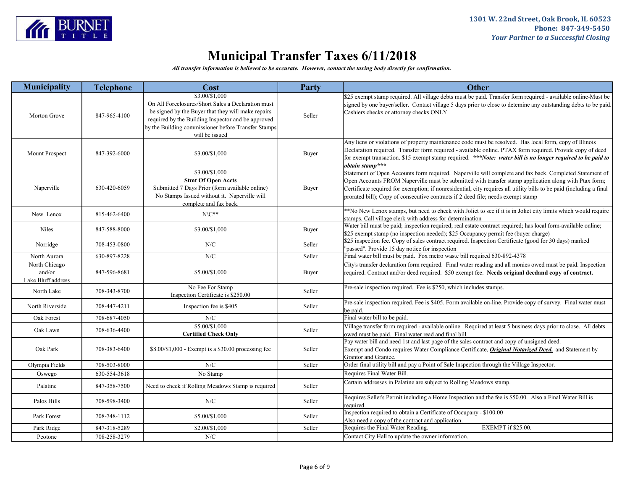

| <b>Municipality</b>                           | <b>Telephone</b> | <b>Cost</b>                                                                                                                                                                                                                                               | Party  | <b>Other</b>                                                                                                                                                                                                                                                                                                                                                                                                                 |
|-----------------------------------------------|------------------|-----------------------------------------------------------------------------------------------------------------------------------------------------------------------------------------------------------------------------------------------------------|--------|------------------------------------------------------------------------------------------------------------------------------------------------------------------------------------------------------------------------------------------------------------------------------------------------------------------------------------------------------------------------------------------------------------------------------|
| Morton Grove                                  | 847-965-4100     | \$3.00/\$1,000<br>On All Foreclosures/Short Sales a Declaration must<br>be signed by the Buyer that they will make repairs<br>required by the Building Inspector and be approved<br>by the Building commissioner before Transfer Stamps<br>will be issued | Seller | \$25 exempt stamp required. All village debts must be paid. Transfer form required - available online-Must be<br>signed by one buyer/seller. Contact village 5 days prior to close to detemine any outstanding debts to be paid.<br>Cashiers checks or attorney checks ONLY                                                                                                                                                  |
| Mount Prospect                                | 847-392-6000     | \$3.00/\$1,000                                                                                                                                                                                                                                            | Buyer  | Any liens or violations of property maintenance code must be resolved. Has local form, copy of Illinois<br>Declaration required. Transfer form required - available online. PTAX form required. Provide copy of deed<br>for exempt transaction. \$15 exempt stamp required. ***Note: water bill is no longer required to be paid to<br>obtain stamp***                                                                       |
| Naperville                                    | 630-420-6059     | \$3.00/\$1,000<br><b>Stmt Of Open Accts</b><br>Submitted 7 Days Prior (form available online)<br>No Stamps Issued without it. Naperville will<br>complete and fax back.                                                                                   | Buyer  | Statement of Open Accounts form required. Naperville will complete and fax back. Completed Statement of<br>Open Accounts FROM Naperville must be submitted with transfer stamp application along with Ptax form;<br>Certificate required for exemption; if nonresidential, city requires all utility bills to be paid (including a final<br>prorated bill); Copy of consecutive contracts if 2 deed file; needs exempt stamp |
| New Lenox                                     | 815-462-6400     | $N\backslash C^{**}$                                                                                                                                                                                                                                      |        | **No New Lenox stamps, but need to check with Joliet to see if it is in Joliet city limits which would require<br>stamps. Call village clerk with address for determination                                                                                                                                                                                                                                                  |
| <b>Niles</b>                                  | 847-588-8000     | \$3.00/\$1,000                                                                                                                                                                                                                                            | Buyer  | Water bill must be paid; inspection required; real estate contract required; has local form-available online;<br>\$25 exempt stamp (no inspection needed); \$25 Occupancy permit fee (buyer charge)                                                                                                                                                                                                                          |
| Norridge                                      | 708-453-0800     | N/C                                                                                                                                                                                                                                                       | Seller | \$25 inspection fee. Copy of sales contract required. Inspection Certificate (good for 30 days) marked<br>"passed". Provide 15 day notice for inspection                                                                                                                                                                                                                                                                     |
| North Aurora                                  | 630-897-8228     | N/C                                                                                                                                                                                                                                                       | Seller | Final water bill must be paid. Fox metro waste bill required 630-892-4378                                                                                                                                                                                                                                                                                                                                                    |
| North Chicago<br>and/or<br>Lake Bluff address | 847-596-8681     | \$5.00/\$1,000                                                                                                                                                                                                                                            | Buyer  | City's transfer declaration form required. Final water reading and all monies owed must be paid. Inspection<br>required. Contract and/or deed required. \$50 exempt fee. Needs origianl deedand copy of contract.                                                                                                                                                                                                            |
| North Lake                                    | 708-343-8700     | No Fee For Stamp<br>Inspection Certificate is \$250.00                                                                                                                                                                                                    | Seller | Pre-sale inspection required. Fee is \$250, which includes stamps.                                                                                                                                                                                                                                                                                                                                                           |
| North Riverside                               | 708-447-4211     | Inspection fee is \$405                                                                                                                                                                                                                                   | Seller | Pre-sale inspection required. Fee is \$405. Form available on-line. Provide copy of survey. Final water must<br>be paid.                                                                                                                                                                                                                                                                                                     |
| Oak Forest                                    | 708-687-4050     | N/C                                                                                                                                                                                                                                                       |        | Final water bill to be paid.                                                                                                                                                                                                                                                                                                                                                                                                 |
| Oak Lawn                                      | 708-636-4400     | \$5.00/\$1,000<br><b>Certified Check Only</b>                                                                                                                                                                                                             | Seller | Village transfer form required - available online. Required at least 5 business days prior to close. All debts<br>owed must be paid. Final water read and final bill.                                                                                                                                                                                                                                                        |
| Oak Park                                      | 708-383-6400     | \$8.00/\$1,000 - Exempt is a \$30.00 processing fee                                                                                                                                                                                                       | Seller | Pay water bill and need 1st and last page of the sales contract and copy of unsigned deed.<br>Exempt and Condo requires Water Compliance Certificate, <i>Original Notarized Deed</i> , and Statement by<br>Grantor and Grantee.                                                                                                                                                                                              |
| Olympia Fields                                | 708-503-8000     | N/C                                                                                                                                                                                                                                                       | Seller | Order final utility bill and pay a Point of Sale Inspection through the Village Inspector.                                                                                                                                                                                                                                                                                                                                   |
| Oswego                                        | 630-554-3618     | No Stamp                                                                                                                                                                                                                                                  |        | Requires Final Water Bill.                                                                                                                                                                                                                                                                                                                                                                                                   |
| Palatine                                      | 847-358-7500     | Need to check if Rolling Meadows Stamp is required                                                                                                                                                                                                        | Seller | Certain addresses in Palatine are subject to Rolling Meadows stamp.                                                                                                                                                                                                                                                                                                                                                          |
| Palos Hills                                   | 708-598-3400     | N/C                                                                                                                                                                                                                                                       | Seller | Requires Seller's Permit including a Home Inspection and the fee is \$50.00. Also a Final Water Bill is<br>required.                                                                                                                                                                                                                                                                                                         |
| Park Forest                                   | 708-748-1112     | \$5.00/\$1,000                                                                                                                                                                                                                                            | Seller | Inspection required to obtain a Certificate of Occupany - \$100.00<br>Also need a copy of the contract and application.                                                                                                                                                                                                                                                                                                      |
| Park Ridge                                    | 847-318-5289     | \$2.00/\$1,000                                                                                                                                                                                                                                            | Seller | Requires the Final Water Reading.<br>EXEMPT if \$25.00.                                                                                                                                                                                                                                                                                                                                                                      |
| Peotone                                       | 708-258-3279     | N/C                                                                                                                                                                                                                                                       |        | Contact City Hall to update the owner information.                                                                                                                                                                                                                                                                                                                                                                           |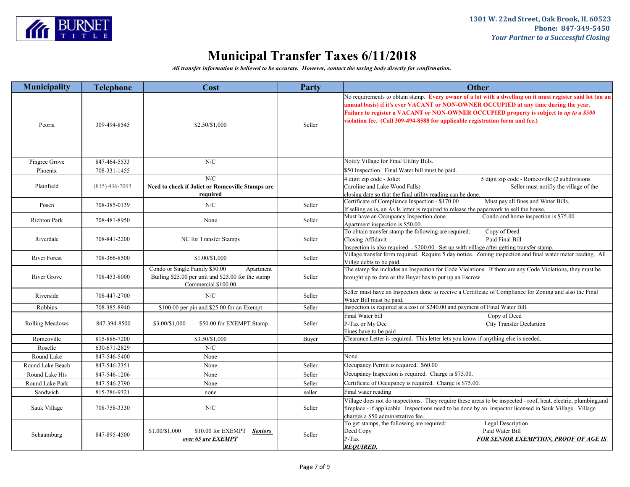

| <b>Municipality</b> | <b>Telephone</b> | Cost                                                                                                                     | Party  | <b>Other</b>                                                                                                                                                                                                                                                                                                                                                                 |
|---------------------|------------------|--------------------------------------------------------------------------------------------------------------------------|--------|------------------------------------------------------------------------------------------------------------------------------------------------------------------------------------------------------------------------------------------------------------------------------------------------------------------------------------------------------------------------------|
| Peoria              | 309-494-8545     | \$2.50/\$1,000                                                                                                           | Seller | No requirements to obtain stamp. Every owner of a lot with a dwelling on it must register said lot (on an<br>annual basis) if it's ever VACANT or NON-OWNER OCCUPIED at any time during the year.<br>Failure to register a VACANT or NON-OWNER OCCUPIED property is subject to up to a \$500<br>violation fee. (Call 309-494-8588 for applicable registration form and fee.) |
| Pingree Grove       | 847-464-5533     | N/C                                                                                                                      |        | Notify Village for Final Utility Bills.                                                                                                                                                                                                                                                                                                                                      |
| Phoenix             | 708-331-1455     |                                                                                                                          |        | \$50 Inspection. Final Water bill must be paid.                                                                                                                                                                                                                                                                                                                              |
| Plainfield          | $(815)$ 436-7093 | N/C<br>Need to check if Joliet or Romeoville Stamps are<br>required                                                      |        | 4 digit zip code - Joliet<br>5 digit zip code - Romeoville (2 subdivisions<br>Caroline and Lake Wood Falls)<br>Seller must notifiy the village of the<br>closing date so that the final utility reading can be done.                                                                                                                                                         |
| Posen               | 708-385-0139     | N/C                                                                                                                      | Seller | Certificate of Compliance Inspection - \$170.00<br>Must pay all fines and Water Bills.<br>If selling as is, an As Is letter is required to release the paperwork to sell the house.                                                                                                                                                                                          |
| <b>Richton Park</b> | 708-481-8950     | None                                                                                                                     | Seller | Condo and home inspection is \$75.00.<br>Must have an Occupancy Inspection done.<br>Apartment inspection is \$50.00.                                                                                                                                                                                                                                                         |
| Riverdale           | 708-841-2200     | NC for Transfer Stamps                                                                                                   | Seller | To obtain transfer stamp the following are required:<br>Copy of Deed<br>Paid Final Bill<br>Closing Affidavit<br>Inspection is also required - \$200.00. Set up with village after getting transfer stamp.                                                                                                                                                                    |
| <b>River Forest</b> | 708-366-8500     | \$1.00/\$1,000                                                                                                           | Seller | Village transfer form required. Require 5 day notice. Zoning inspection and final water meter reading. All<br>Villge debts to be paid.                                                                                                                                                                                                                                       |
| River Grove         | 708-453-8000     | Condo or Single Family \$50.00<br>Apartment<br>Builing \$25.00 per unit and \$25.00 for the stamp<br>Commercial \$100.00 | Seller | The stamp fee includes an Inspection for Code Violations. If there are any Code Violations, they must be<br>brought up to date or the Buyer has to put up an Escrow.                                                                                                                                                                                                         |
| Riverside           | 708-447-2700     | N/C                                                                                                                      | Seller | Seller must have an Inspection done to receive a Certificate of Compliance for Zoning and also the Final<br>Water Bill must be paid.                                                                                                                                                                                                                                         |
| Robbins             | 708-385-8940     | \$100.00 per pin and \$25.00 for an Exempt                                                                               | Seller | Inspection is required at a cost of \$240.00 and payment of Final Water Bill.                                                                                                                                                                                                                                                                                                |
| Rolling Meadows     | 847-394-8500     | \$3.00/\$1,000<br>\$50.00 for EXEMPT Stamp                                                                               | Seller | Final Water bill<br>Copy of Deed<br><b>City Transfer Declartion</b><br>P-Tax or My Dec<br>Fines have to be paid                                                                                                                                                                                                                                                              |
| Romeoville          | 815-886-7200     | \$3.50/\$1,000                                                                                                           | Buyer  | Clearance Letter is required. This letter lets you know if anything else is needed.                                                                                                                                                                                                                                                                                          |
| Roselle             | 630-671-2829     | N/C                                                                                                                      |        |                                                                                                                                                                                                                                                                                                                                                                              |
| Round Lake          | 847-546-5400     | None                                                                                                                     |        | None                                                                                                                                                                                                                                                                                                                                                                         |
| Round Lake Beach    | 847-546-2351     | None                                                                                                                     | Seller | Occupancy Permit is required. \$60.00                                                                                                                                                                                                                                                                                                                                        |
| Round Lake Hts      | 847-546-1206     | None                                                                                                                     | Seller | Occupancy Inspection is required. Charge is \$75.00.                                                                                                                                                                                                                                                                                                                         |
| Round Lake Park     | 847-546-2790     | None                                                                                                                     | Seller | Certificate of Occupancy is required. Charge is \$75.00.                                                                                                                                                                                                                                                                                                                     |
| Sandwich            | 815-786-9321     | none                                                                                                                     | seller | Final water reading                                                                                                                                                                                                                                                                                                                                                          |
| Sauk Village        | 708-758-3330     | N/C                                                                                                                      | Seller | Village does not do inspections. They require these areas to be inspected - roof, heat, electric, plumbing,and<br>fireplace - if applicable. Inspections need to be done by an inspector licensed in Sauk Village. Village<br>charges a \$50 administrative fee.                                                                                                             |
| Schaumburg          | 847-895-4500     | \$1.00/\$1,000<br>\$10.00 for EXEMPT Seniors<br>over 65 are EXEMPT                                                       | Seller | To get stamps, the following are required:<br><b>Legal Description</b><br>Deed Copy<br>Paid Water Bill<br>$P-Tax$<br><b>FOR SENIOR EXEMPTION, PROOF OF AGE IS</b><br><b>REOUIRED.</b>                                                                                                                                                                                        |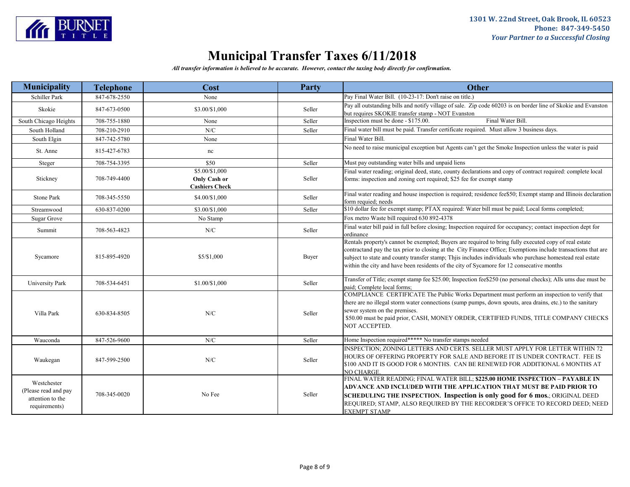

| <b>Municipality</b>                                                      | <b>Telephone</b> | Cost                  | <b>Party</b> | <b>Other</b>                                                                                                                                                                                                                                                                                                                                                                                                                      |
|--------------------------------------------------------------------------|------------------|-----------------------|--------------|-----------------------------------------------------------------------------------------------------------------------------------------------------------------------------------------------------------------------------------------------------------------------------------------------------------------------------------------------------------------------------------------------------------------------------------|
| Schiller Park                                                            | 847-678-2550     | None                  |              | Pay Final Water Bill. (10-23-17: Don't raise on title.)                                                                                                                                                                                                                                                                                                                                                                           |
| Skokie                                                                   | 847-673-0500     | \$3.00/\$1,000        | Seller       | Pay all outstanding bills and notify village of sale. Zip code 60203 is on border line of Skokie and Evanston<br>but requires SKOKIE transfer stamp - NOT Evanston                                                                                                                                                                                                                                                                |
| South Chicago Heights                                                    | 708-755-1880     | None                  | Seller       | Final Water Bill.<br>Inspection must be done - \$175.00.                                                                                                                                                                                                                                                                                                                                                                          |
| South Holland                                                            | 708-210-2910     | ${\rm N/C}$           | Seller       | Final water bill must be paid. Transfer certificate required. Must allow 3 business days.                                                                                                                                                                                                                                                                                                                                         |
| South Elgin                                                              | 847-742-5780     | None                  |              | Final Water Bill.                                                                                                                                                                                                                                                                                                                                                                                                                 |
| St. Anne                                                                 | 815-427-6783     | nc                    |              | No need to raise municipal exception but Agents can't get the Smoke Inspection unless the water is paid                                                                                                                                                                                                                                                                                                                           |
| Steger                                                                   | 708-754-3395     | \$50                  | Seller       | Must pay outstanding water bills and unpaid liens                                                                                                                                                                                                                                                                                                                                                                                 |
|                                                                          |                  | \$5.00/\$1,000        |              | Final water reading; original deed, state, county declarations and copy of contract required: complete local                                                                                                                                                                                                                                                                                                                      |
| Stickney                                                                 | 708-749-4400     | Only Cash or          | Seller       | forms: inspection and zoning cert required; \$25 fee for exempt stamp                                                                                                                                                                                                                                                                                                                                                             |
|                                                                          |                  | <b>Cashiers Check</b> |              |                                                                                                                                                                                                                                                                                                                                                                                                                                   |
| Stone Park                                                               | 708-345-5550     | \$4.00/\$1,000        | Seller       | Final water reading and house inspection is required; residence fee\$50; Exempt stamp and Illinois declaration<br>form requied; needs                                                                                                                                                                                                                                                                                             |
| Streamwood                                                               | 630-837-0200     | \$3.00/\$1,000        | Seller       | \$10 dollar fee for exempt stamp; PTAX required: Water bill must be paid; Local forms completed;                                                                                                                                                                                                                                                                                                                                  |
| Sugar Grove                                                              |                  | No Stamp              |              | Fox metro Waste bill required 630 892-4378                                                                                                                                                                                                                                                                                                                                                                                        |
| Summit                                                                   | 708-563-4823     | ${\rm N/C}$           | Seller       | Final water bill paid in full before closing; Inspection required for occupancy; contact inspection dept for<br>ordinance                                                                                                                                                                                                                                                                                                         |
| Sycamore                                                                 | 815-895-4920     | \$5/\$1,000           | Buyer        | Rentals property's cannot be exempted; Buyers are required to bring fully executed copy of real estate<br>contractand pay the tax prior to closing at the City Finance Office; Exemptions include transactions that are<br>subject to state and county transfer stamp; Thjis includes individuals who purchase homestead real estate<br>within the city and have been residents of the city of Sycamore for 12 consecutive months |
| <b>University Park</b>                                                   | 708-534-6451     | \$1.00/\$1,000        | Seller       | Transfer of Title; exempt stamp fee \$25.00; Inspection fee\$250 (no personal checks); Alls ums due must be<br>paid; Complete local forms;                                                                                                                                                                                                                                                                                        |
| Villa Park                                                               | 630-834-8505     | N/C                   | Seller       | COMPLIANCE CERTIFICATE The Public Works Department must perform an inspection to verify that<br>there are no illegal storm water connections (sump pumps, down spouts, area drains, etc.) to the sanitary<br>sewer system on the premises.<br>\$50.00 must be paid prior, CASH, MONEY ORDER, CERTIFIED FUNDS, TITLE COMPANY CHECKS<br>NOT ACCEPTED.                                                                               |
| Wauconda                                                                 | 847-526-9600     | N/C                   | Seller       | Home Inspection required***** No transfer stamps needed                                                                                                                                                                                                                                                                                                                                                                           |
| Waukegan                                                                 | 847-599-2500     | N/C                   | Seller       | INSPECTION; ZONING LETTERS AND CERTS. SELLER MUST APPLY FOR LETTER WITHIN 72<br>HOURS OF OFFERING PROPERTY FOR SALE AND BEFORE IT IS UNDER CONTRACT. FEE IS<br>\$100 AND IT IS GOOD FOR 6 MONTHS. CAN BE RENEWED FOR ADDITIONAL 6 MONTHS AT<br>NO CHARGE.                                                                                                                                                                         |
| Westchester<br>(Please read and pay<br>attention to the<br>requirements) | 708-345-0020     | No Fee                | Seller       | FINAL WATER READING; FINAL WATER BILL; \$225.00 HOME INSPECTION - PAYABLE IN<br>ADVANCE AND INCLUDED WITH THE APPLICATION THAT MUST BE PAID PRIOR TO<br>SCHEDULING THE INSPECTION. Inspection is only good for 6 mos.; ORIGINAL DEED<br>REQUIRED; STAMP, ALSO REQUIRED BY THE RECORDER'S OFFICE TO RECORD DEED; NEED<br><b>EXEMPT STAMP</b>                                                                                       |